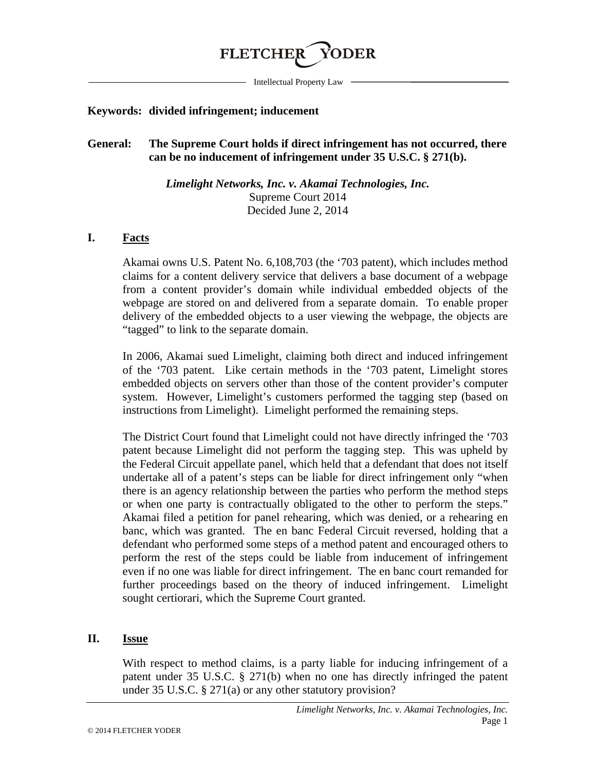

Intellectual Property Law

#### **Keywords: divided infringement; inducement**

# **General: The Supreme Court holds if direct infringement has not occurred, there can be no inducement of infringement under 35 U.S.C. § 271(b).**

*Limelight Networks, Inc. v. Akamai Technologies, Inc.* Supreme Court 2014 Decided June 2, 2014

# **I. Facts**

Akamai owns U.S. Patent No. 6,108,703 (the '703 patent), which includes method claims for a content delivery service that delivers a base document of a webpage from a content provider's domain while individual embedded objects of the webpage are stored on and delivered from a separate domain. To enable proper delivery of the embedded objects to a user viewing the webpage, the objects are "tagged" to link to the separate domain.

In 2006, Akamai sued Limelight, claiming both direct and induced infringement of the '703 patent. Like certain methods in the '703 patent, Limelight stores embedded objects on servers other than those of the content provider's computer system. However, Limelight's customers performed the tagging step (based on instructions from Limelight). Limelight performed the remaining steps.

The District Court found that Limelight could not have directly infringed the '703 patent because Limelight did not perform the tagging step. This was upheld by the Federal Circuit appellate panel, which held that a defendant that does not itself undertake all of a patent's steps can be liable for direct infringement only "when there is an agency relationship between the parties who perform the method steps or when one party is contractually obligated to the other to perform the steps." Akamai filed a petition for panel rehearing, which was denied, or a rehearing en banc, which was granted. The en banc Federal Circuit reversed, holding that a defendant who performed some steps of a method patent and encouraged others to perform the rest of the steps could be liable from inducement of infringement even if no one was liable for direct infringement. The en banc court remanded for further proceedings based on the theory of induced infringement. Limelight sought certiorari, which the Supreme Court granted.

### **II. Issue**

With respect to method claims, is a party liable for inducing infringement of a patent under 35 U.S.C. § 271(b) when no one has directly infringed the patent under 35 U.S.C. § 271(a) or any other statutory provision?